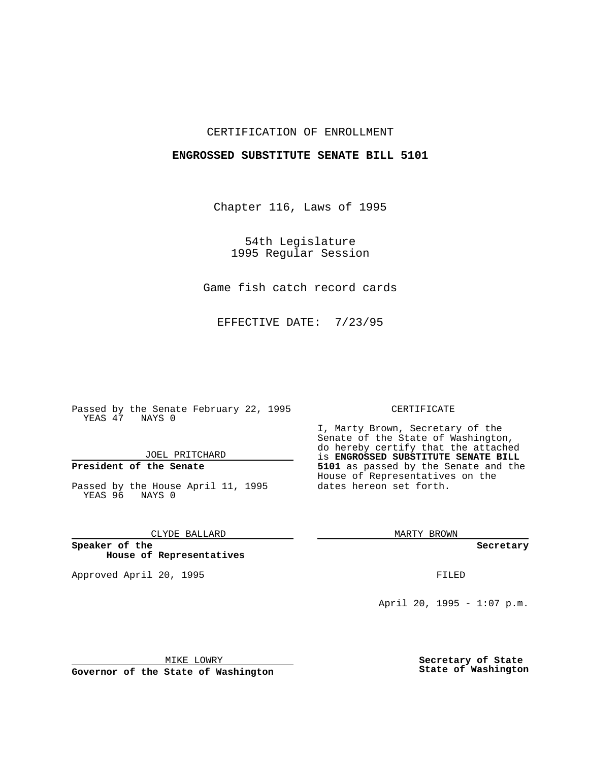## CERTIFICATION OF ENROLLMENT

## **ENGROSSED SUBSTITUTE SENATE BILL 5101**

Chapter 116, Laws of 1995

54th Legislature 1995 Regular Session

Game fish catch record cards

EFFECTIVE DATE: 7/23/95

Passed by the Senate February 22, 1995 YEAS 47 NAYS 0

JOEL PRITCHARD

# **President of the Senate**

Passed by the House April 11, 1995 YEAS 96 NAYS 0

CLYDE BALLARD

**Speaker of the House of Representatives**

Approved April 20, 1995 FILED

#### CERTIFICATE

I, Marty Brown, Secretary of the Senate of the State of Washington, do hereby certify that the attached is **ENGROSSED SUBSTITUTE SENATE BILL 5101** as passed by the Senate and the House of Representatives on the dates hereon set forth.

MARTY BROWN

**Secretary**

April 20, 1995 - 1:07 p.m.

MIKE LOWRY

**Governor of the State of Washington**

**Secretary of State State of Washington**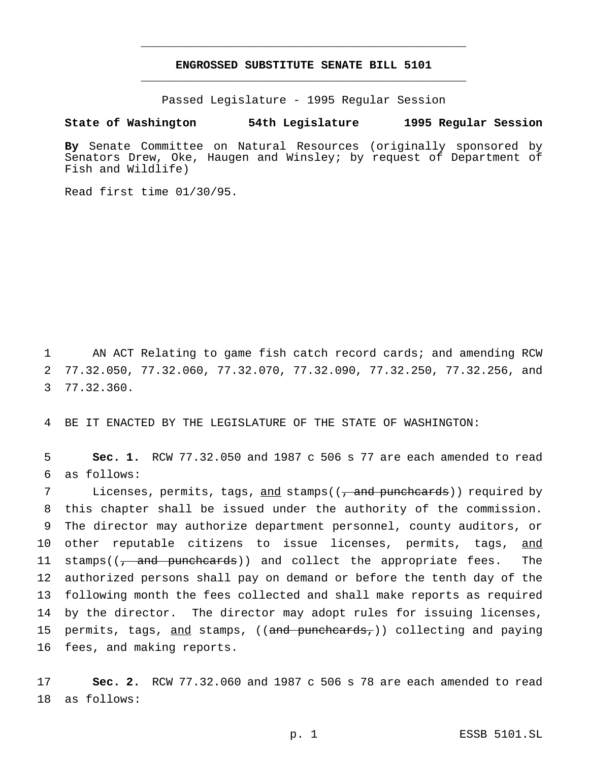## **ENGROSSED SUBSTITUTE SENATE BILL 5101** \_\_\_\_\_\_\_\_\_\_\_\_\_\_\_\_\_\_\_\_\_\_\_\_\_\_\_\_\_\_\_\_\_\_\_\_\_\_\_\_\_\_\_\_\_\_\_

\_\_\_\_\_\_\_\_\_\_\_\_\_\_\_\_\_\_\_\_\_\_\_\_\_\_\_\_\_\_\_\_\_\_\_\_\_\_\_\_\_\_\_\_\_\_\_

Passed Legislature - 1995 Regular Session

### **State of Washington 54th Legislature 1995 Regular Session**

**By** Senate Committee on Natural Resources (originally sponsored by Senators Drew, Oke, Haugen and Winsley; by request of Department of Fish and Wildlife)

Read first time 01/30/95.

1 AN ACT Relating to game fish catch record cards; and amending RCW 2 77.32.050, 77.32.060, 77.32.070, 77.32.090, 77.32.250, 77.32.256, and 3 77.32.360.

4 BE IT ENACTED BY THE LEGISLATURE OF THE STATE OF WASHINGTON:

5 **Sec. 1.** RCW 77.32.050 and 1987 c 506 s 77 are each amended to read 6 as follows:

7 Licenses, permits, tags, and stamps((, and punchcards)) required by 8 this chapter shall be issued under the authority of the commission. 9 The director may authorize department personnel, county auditors, or 10 other reputable citizens to issue licenses, permits, tags, and 11 stamps( $\left(\frac{1}{f} \text{ and } \frac{1}{f} \text{ and } \text{ and } \text{ collect the } \text{ appropriate } \text{ fees.} \right)$  The 12 authorized persons shall pay on demand or before the tenth day of the 13 following month the fees collected and shall make reports as required 14 by the director. The director may adopt rules for issuing licenses, 15 permits, tags, and stamps, ((and punchcards,)) collecting and paying 16 fees, and making reports.

17 **Sec. 2.** RCW 77.32.060 and 1987 c 506 s 78 are each amended to read 18 as follows: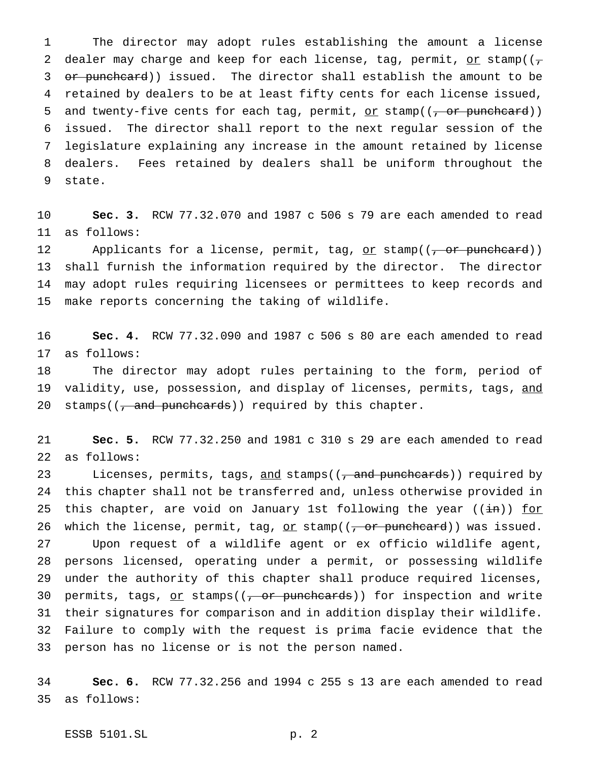The director may adopt rules establishing the amount a license 2 dealer may charge and keep for each license, tag, permit, or stamp( $(\tau$ 3 or punchcard)) issued. The director shall establish the amount to be retained by dealers to be at least fifty cents for each license issued, 5 and twenty-five cents for each tag, permit, or stamp( $(-$ or punchcard)) issued. The director shall report to the next regular session of the legislature explaining any increase in the amount retained by license dealers. Fees retained by dealers shall be uniform throughout the state.

 **Sec. 3.** RCW 77.32.070 and 1987 c 506 s 79 are each amended to read as follows:

12 Applicants for a license, permit, tag, or stamp( $(\tau$  or punchcard)) shall furnish the information required by the director. The director may adopt rules requiring licensees or permittees to keep records and make reports concerning the taking of wildlife.

 **Sec. 4.** RCW 77.32.090 and 1987 c 506 s 80 are each amended to read as follows:

 The director may adopt rules pertaining to the form, period of 19 validity, use, possession, and display of licenses, permits, tags, and 20 stamps((, and punchcards)) required by this chapter.

 **Sec. 5.** RCW 77.32.250 and 1981 c 310 s 29 are each amended to read as follows:

23 Licenses, permits, tags, and stamps((, and punchcards)) required by this chapter shall not be transferred and, unless otherwise provided in 25 this chapter, are void on January 1st following the year ( $(in)$ ) for 26 which the license, permit, tag,  $or stamp((-\n $\sigma$ r puncheard))) was issued.$ </u> Upon request of a wildlife agent or ex officio wildlife agent, persons licensed, operating under a permit, or possessing wildlife under the authority of this chapter shall produce required licenses, 30 permits, tags,  $or stamps(( $-\sigma r$ -punchcards)) for inspection and write$ </u> their signatures for comparison and in addition display their wildlife. Failure to comply with the request is prima facie evidence that the person has no license or is not the person named.

 **Sec. 6.** RCW 77.32.256 and 1994 c 255 s 13 are each amended to read as follows:

ESSB 5101.SL p. 2